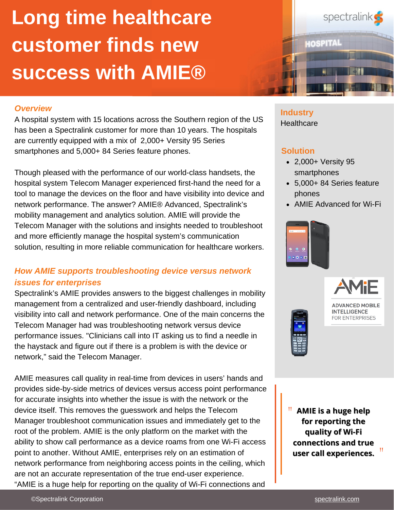# **Long time healthcare customer finds new success with AMIE®**

#### *Overview*

A hospital system with 15 locations across the Southern region of the US has been a Spectralink customer for more than 10 years. The hospitals are currently equipped with a mix of 2,000+ Versity 95 Series smartphones and 5,000+ 84 Series feature phones.

Though pleased with the performance of our world-class handsets, the hospital system Telecom Manager experienced first-hand the need for a tool to manage the devices on the floor and have visibility into device and network performance. The answer? AMIE® Advanced, Spectralink's mobility management and analytics solution. AMIE will provide the Telecom Manager with the solutions and insights needed to troubleshoot and more efficiently manage the hospital system's communication solution, resulting in more reliable communication for healthcare workers.

### *How AMIE supports troubleshooting device versus network issues for enterprises*

Spectralink's AMIE provides answers to the biggest challenges in mobility management from a centralized and user-friendly dashboard, including visibility into call and network performance. One of the main concerns the Telecom Manager had was troubleshooting network versus device performance issues. "Clinicians call into IT asking us to find a needle in the haystack and figure out if there is a problem is with the device or network," said the Telecom Manager.

AMIE measures call quality in real-time from devices in users' hands and provides side-by-side metrics of devices versus access point performance for accurate insights into whether the issue is with the network or the device itself. This removes the guesswork and helps the Telecom Manager troubleshoot communication issues and immediately get to the root of the problem. AMIE is the only platform on the market with the ability to show call performance as a device roams from one Wi-Fi access point to another. Without AMIE, enterprises rely on an estimation of network performance from neighboring access points in the ceiling, which are not an accurate representation of the true end-user experience. "AMIE is a huge help for reporting on the quality of Wi-Fi connections and



## **Industry**

**Healthcare** 

#### **Solution**

- 2,000+ Versity 95 smartphones
- 5,000+ 84 Series feature phones
- AMIE Advanced for Wi-Fi





" **AMIE is a huge help for reporting the quality of Wi-Fi connections and true user call experiences.** "